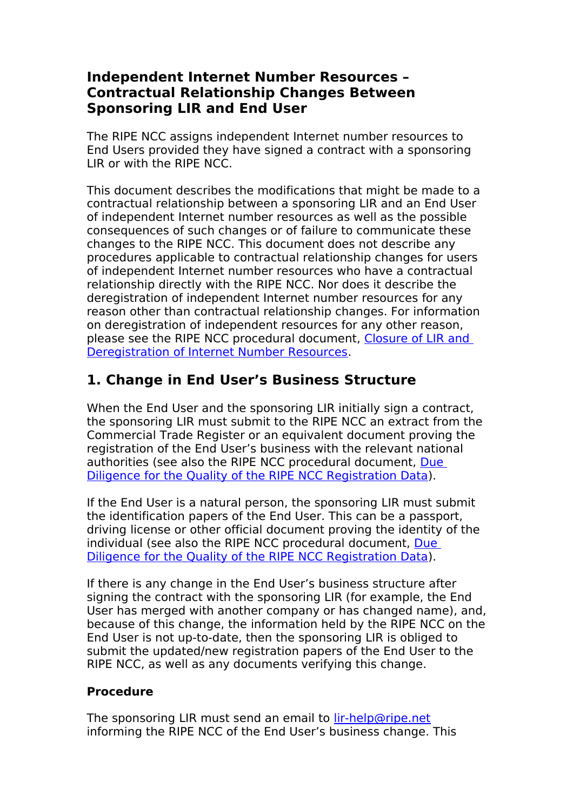#### **Independent Internet Number Resources – Contractual Relationship Changes Between Sponsoring LIR and End User**

The RIPE NCC assigns independent Internet number resources to End Users provided they have signed a contract with a sponsoring LIR or with the RIPE NCC.

This document describes the modifications that might be made to a contractual relationship between a sponsoring LIR and an End User of independent Internet number resources as well as the possible consequences of such changes or of failure to communicate these changes to the RIPE NCC. This document does not describe any procedures applicable to contractual relationship changes for users of independent Internet number resources who have a contractual relationship directly with the RIPE NCC. Nor does it describe the deregistration of independent Internet number resources for any reason other than contractual relationship changes. For information on deregistration of independent resources for any other reason, please see the RIPE NCC procedural document, [Closure of LIR and](https://www.ripe.net/ripe/docs/ripe-517)  [Deregistration of Internet Number Resources.](https://www.ripe.net/ripe/docs/ripe-517)

## **1. Change in End User's Business Structure**

When the End User and the sponsoring LIR initially sign a contract, the sponsoring LIR must submit to the RIPE NCC an extract from the Commercial Trade Register or an equivalent document proving the registration of the End User's business with the relevant national authorities (see also the RIPE NCC procedural document, [Due](http://www.ripe.net/ripe/docs/ripe-556)  [Diligence for the Quality of the RIPE NCC Registration Data\)](http://www.ripe.net/ripe/docs/ripe-556).

If the End User is a natural person, the sponsoring LIR must submit the identification papers of the End User. This can be a passport, driving license or other official document proving the identity of the individual (see also the RIPE NCC procedural document, [Due](http://www.ripe.net/ripe/docs/ripe-556)  [Diligence for the Quality of the RIPE NCC Registration Data\)](http://www.ripe.net/ripe/docs/ripe-556).

If there is any change in the End User's business structure after signing the contract with the sponsoring LIR (for example, the End User has merged with another company or has changed name), and, because of this change, the information held by the RIPE NCC on the End User is not up-to-date, then the sponsoring LIR is obliged to submit the updated/new registration papers of the End User to the RIPE NCC, as well as any documents verifying this change.

#### **Procedure**

The sponsoring LIR must send an email to *lir-help@ripe.net* informing the RIPE NCC of the End User's business change. This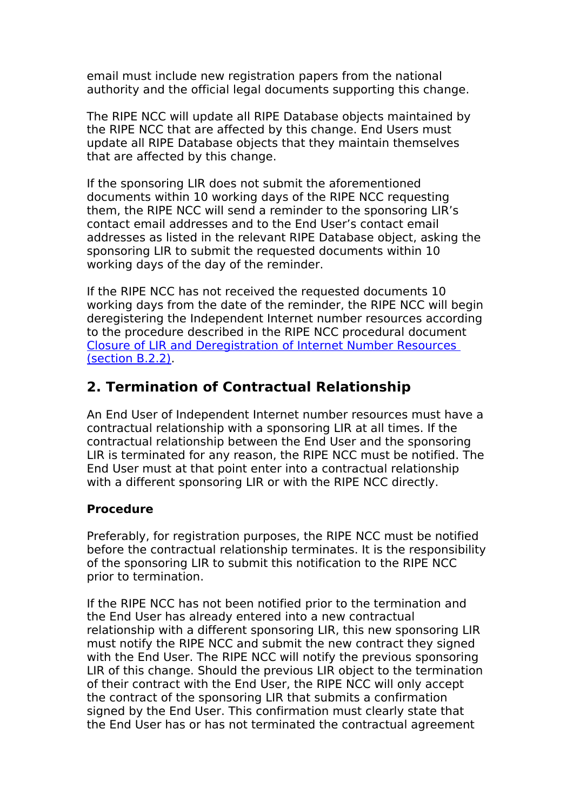email must include new registration papers from the national authority and the official legal documents supporting this change.

The RIPE NCC will update all RIPE Database objects maintained by the RIPE NCC that are affected by this change. End Users must update all RIPE Database objects that they maintain themselves that are affected by this change.

If the sponsoring LIR does not submit the aforementioned documents within 10 working days of the RIPE NCC requesting them, the RIPE NCC will send a reminder to the sponsoring LIR's contact email addresses and to the End User's contact email addresses as listed in the relevant RIPE Database object, asking the sponsoring LIR to submit the requested documents within 10 working days of the day of the reminder.

If the RIPE NCC has not received the requested documents 10 working days from the date of the reminder, the RIPE NCC will begin deregistering the Independent Internet number resources according to the procedure described in the RIPE NCC procedural document [Closure of LIR and Deregistration of Internet Number Resources](https://www.ripe.net/ripe/docs/ripe-517#b22)  [\(section B.2.2\).](https://www.ripe.net/ripe/docs/ripe-517#b22)

## **2. Termination of Contractual Relationship**

An End User of Independent Internet number resources must have a contractual relationship with a sponsoring LIR at all times. If the contractual relationship between the End User and the sponsoring LIR is terminated for any reason, the RIPE NCC must be notified. The End User must at that point enter into a contractual relationship with a different sponsoring LIR or with the RIPE NCC directly.

#### **Procedure**

Preferably, for registration purposes, the RIPE NCC must be notified before the contractual relationship terminates. It is the responsibility of the sponsoring LIR to submit this notification to the RIPE NCC prior to termination.

If the RIPE NCC has not been notified prior to the termination and the End User has already entered into a new contractual relationship with a different sponsoring LIR, this new sponsoring LIR must notify the RIPE NCC and submit the new contract they signed with the End User. The RIPE NCC will notify the previous sponsoring LIR of this change. Should the previous LIR object to the termination of their contract with the End User, the RIPE NCC will only accept the contract of the sponsoring LIR that submits a confirmation signed by the End User. This confirmation must clearly state that the End User has or has not terminated the contractual agreement